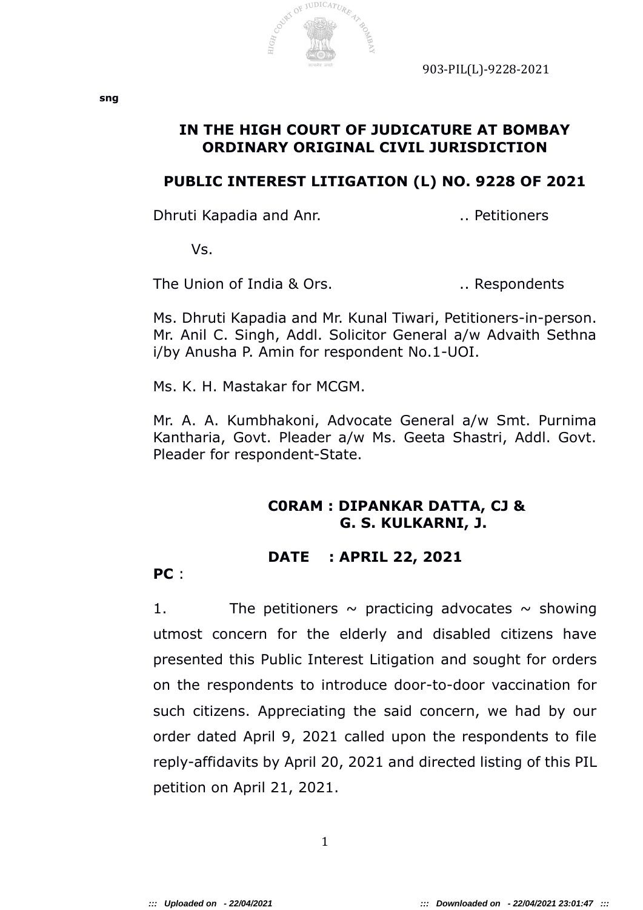

# **IN THE HIGH COURT OF JUDICATURE AT BOMBAY ORDINARY ORIGINAL CIVIL JURISDICTION**

### **PUBLIC INTEREST LITIGATION (L) NO. 9228 OF 2021**

Dhruti Kapadia and Anr. ... ... ... ... Petitioners

Vs.

The Union of India & Ors. The Union of India & Ors.

Ms. Dhruti Kapadia and Mr. Kunal Tiwari, Petitioners-in-person. Mr. Anil C. Singh, Addl. Solicitor General a/w Advaith Sethna i/by Anusha P. Amin for respondent No.1-UOI.

Ms. K. H. Mastakar for MCGM.

Mr. A. A. Kumbhakoni, Advocate General a/w Smt. Purnima Kantharia, Govt. Pleader a/w Ms. Geeta Shastri, Addl. Govt. Pleader for respondent-State.

# **C0RAM : DIPANKAR DATTA, CJ & G. S. KULKARNI, J.**

# **DATE : APRIL 22, 2021**

**PC** :

1. The petitioners  $\sim$  practicing advocates  $\sim$  showing utmost concern for the elderly and disabled citizens have presented this Public Interest Litigation and sought for orders on the respondents to introduce door-to-door vaccination for such citizens. Appreciating the said concern, we had by our order dated April 9, 2021 called upon the respondents to file reply-affidavits by April 20, 2021 and directed listing of this PIL petition on April 21, 2021.

1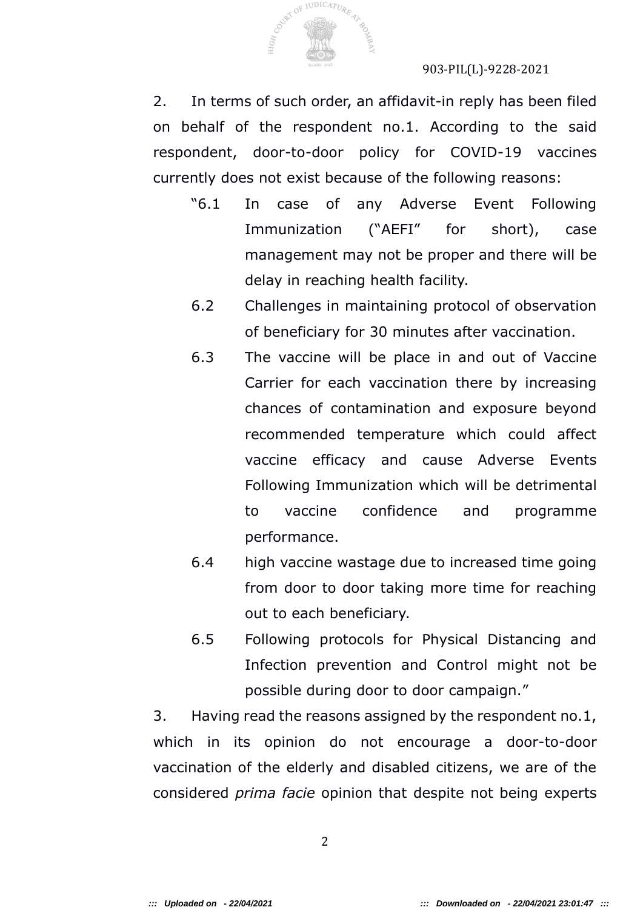

2. In terms of such order, an affidavit-in reply has been filed on behalf of the respondent no.1. According to the said respondent, door-to-door policy for COVID-19 vaccines currently does not exist because of the following reasons:

- "6.1 In case of any Adverse Event Following Immunization ("AEFI" for short), case management may not be proper and there will be delay in reaching health facility.
- 6.2 Challenges in maintaining protocol of observation of beneficiary for 30 minutes after vaccination.
- 6.3 The vaccine will be place in and out of Vaccine Carrier for each vaccination there by increasing chances of contamination and exposure beyond recommended temperature which could affect vaccine efficacy and cause Adverse Events Following Immunization which will be detrimental to vaccine confidence and programme performance.
- 6.4 high vaccine wastage due to increased time going from door to door taking more time for reaching out to each beneficiary.
- 6.5 Following protocols for Physical Distancing and Infection prevention and Control might not be possible during door to door campaign."

3. Having read the reasons assigned by the respondent no.1, which in its opinion do not encourage a door-to-door vaccination of the elderly and disabled citizens, we are of the considered *prima facie* opinion that despite not being experts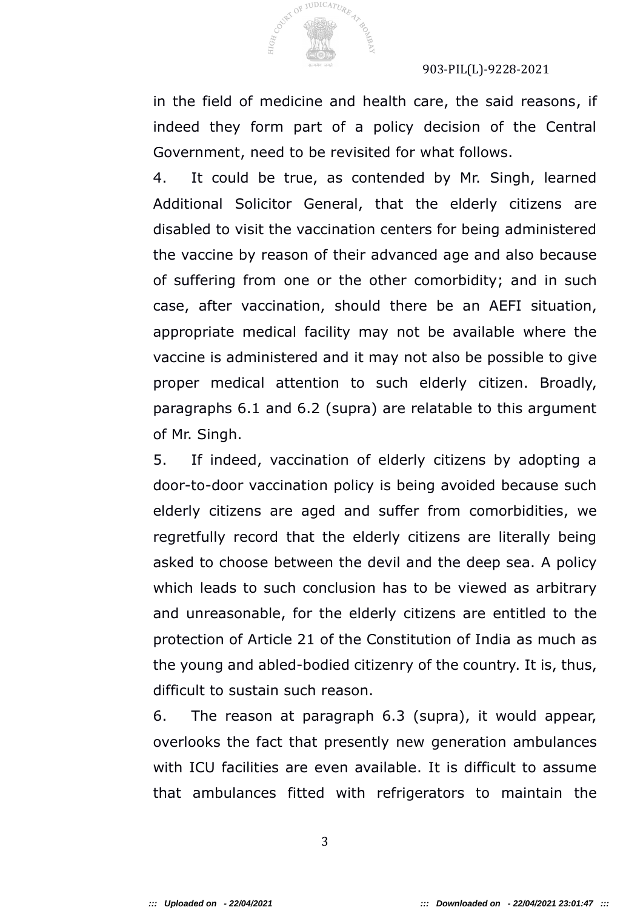

**HIGH COUNTS** 

JUDICATURE

#### 903-PIL(L)-9228-2021

in the field of medicine and health care, the said reasons, if indeed they form part of a policy decision of the Central Government, need to be revisited for what follows.

4. It could be true, as contended by Mr. Singh, learned Additional Solicitor General, that the elderly citizens are disabled to visit the vaccination centers for being administered the vaccine by reason of their advanced age and also because of suffering from one or the other comorbidity; and in such case, after vaccination, should there be an AEFI situation, appropriate medical facility may not be available where the vaccine is administered and it may not also be possible to give proper medical attention to such elderly citizen. Broadly, paragraphs 6.1 and 6.2 (supra) are relatable to this argument of Mr. Singh.

5. If indeed, vaccination of elderly citizens by adopting a door-to-door vaccination policy is being avoided because such elderly citizens are aged and suffer from comorbidities, we regretfully record that the elderly citizens are literally being asked to choose between the devil and the deep sea. A policy which leads to such conclusion has to be viewed as arbitrary and unreasonable, for the elderly citizens are entitled to the protection of Article 21 of the Constitution of India as much as the young and abled-bodied citizenry of the country. It is, thus, difficult to sustain such reason.

6. The reason at paragraph 6.3 (supra), it would appear, overlooks the fact that presently new generation ambulances with ICU facilities are even available. It is difficult to assume that ambulances fitted with refrigerators to maintain the

3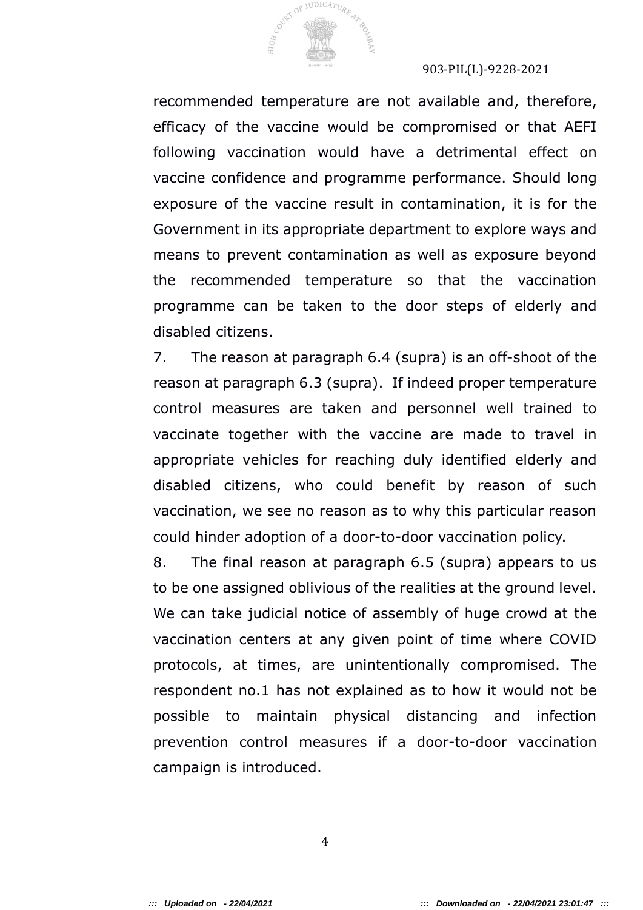

recommended temperature are not available and, therefore, efficacy of the vaccine would be compromised or that AEFI following vaccination would have a detrimental effect on vaccine confidence and programme performance. Should long exposure of the vaccine result in contamination, it is for the Government in its appropriate department to explore ways and means to prevent contamination as well as exposure beyond the recommended temperature so that the vaccination programme can be taken to the door steps of elderly and disabled citizens.

7. The reason at paragraph 6.4 (supra) is an off-shoot of the reason at paragraph 6.3 (supra). If indeed proper temperature control measures are taken and personnel well trained to vaccinate together with the vaccine are made to travel in appropriate vehicles for reaching duly identified elderly and disabled citizens, who could benefit by reason of such vaccination, we see no reason as to why this particular reason could hinder adoption of a door-to-door vaccination policy.

8. The final reason at paragraph 6.5 (supra) appears to us to be one assigned oblivious of the realities at the ground level. We can take judicial notice of assembly of huge crowd at the vaccination centers at any given point of time where COVID protocols, at times, are unintentionally compromised. The respondent no.1 has not explained as to how it would not be possible to maintain physical distancing and infection prevention control measures if a door-to-door vaccination campaign is introduced.

4